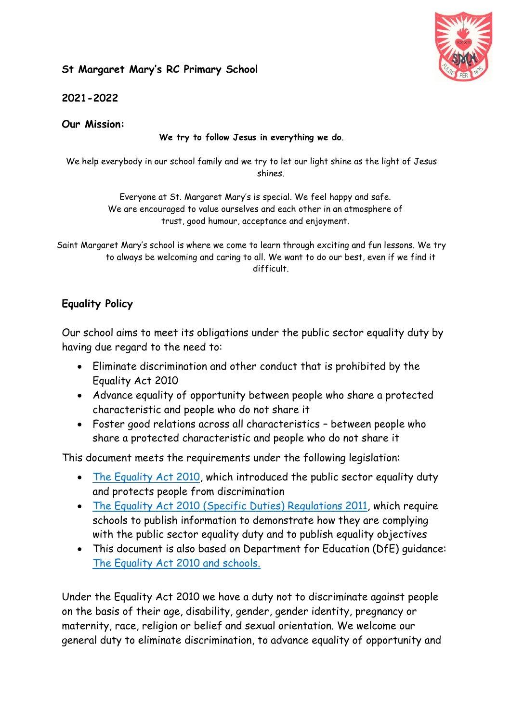## **St Margaret Mary's RC Primary School**



**2021-2022**

**Our Mission:**

**We try to follow Jesus in everything we do**.

We help everybody in our school family and we try to let our light shine as the light of Jesus shines.

> Everyone at St. Margaret Mary's is special. We feel happy and safe. We are encouraged to value ourselves and each other in an atmosphere of trust, good humour, acceptance and enjoyment.

Saint Margaret Mary's school is where we come to learn through exciting and fun lessons. We try to always be welcoming and caring to all. We want to do our best, even if we find it difficult.

## **Equality Policy**

Our school aims to meet its obligations under the public sector equality duty by having due regard to the need to:

- Eliminate discrimination and other conduct that is prohibited by the Equality Act 2010
- Advance equality of opportunity between people who share a protected characteristic and people who do not share it
- Foster good relations across all characteristics between people who share a protected characteristic and people who do not share it

This document meets the requirements under the following legislation:

- [The Equality Act 2010,](http://www.legislation.gov.uk/ukpga/2010/15/contents) which introduced the public sector equality duty and protects people from discrimination
- [The Equality Act 2010 \(Specific Duties\) Regulations 2011,](http://www.legislation.gov.uk/uksi/2011/2260/contents/made) which require schools to publish information to demonstrate how they are complying with the public sector equality duty and to publish equality objectives
- This document is also based on Department for Education (DfE) guidance: [The Equality Act 2010 and schools.](https://www.gov.uk/government/publications/equality-act-2010-advice-for-schools)

Under the Equality Act 2010 we have a duty not to discriminate against people on the basis of their age, disability, gender, gender identity, pregnancy or maternity, race, religion or belief and sexual orientation. We welcome our general duty to eliminate discrimination, to advance equality of opportunity and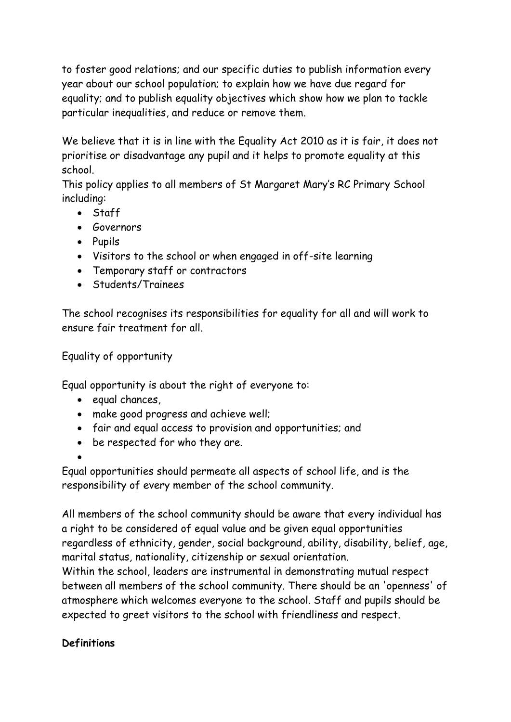to foster good relations; and our specific duties to publish information every year about our school population; to explain how we have due regard for equality; and to publish equality objectives which show how we plan to tackle particular inequalities, and reduce or remove them.

We believe that it is in line with the Equality Act 2010 as it is fair, it does not prioritise or disadvantage any pupil and it helps to promote equality at this school.

This policy applies to all members of St Margaret Mary's RC Primary School including:

- Staff
- **•** Governors
- Pupils
- Visitors to the school or when engaged in off-site learning
- Temporary staff or contractors
- **Students/Trainees**

The school recognises its responsibilities for equality for all and will work to ensure fair treatment for all.

Equality of opportunity

Equal opportunity is about the right of everyone to:

- $\bullet$  equal chances,
- make good progress and achieve well;
- fair and equal access to provision and opportunities; and
- be respected for who they are.
- $\bullet$

Equal opportunities should permeate all aspects of school life, and is the responsibility of every member of the school community.

All members of the school community should be aware that every individual has a right to be considered of equal value and be given equal opportunities regardless of ethnicity, gender, social background, ability, disability, belief, age, marital status, nationality, citizenship or sexual orientation.

Within the school, leaders are instrumental in demonstrating mutual respect between all members of the school community. There should be an 'openness' of atmosphere which welcomes everyone to the school. Staff and pupils should be expected to greet visitors to the school with friendliness and respect.

# **Definitions**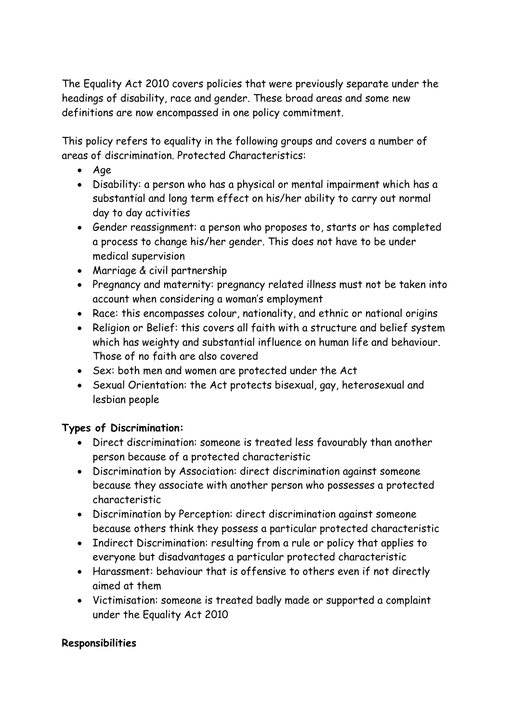The Equality Act 2010 covers policies that were previously separate under the headings of disability, race and gender. These broad areas and some new definitions are now encompassed in one policy commitment.

This policy refers to equality in the following groups and covers a number of areas of discrimination. Protected Characteristics:

- Age
- Disability: a person who has a physical or mental impairment which has a substantial and long term effect on his/her ability to carry out normal day to day activities
- Gender reassignment: a person who proposes to, starts or has completed a process to change his/her gender. This does not have to be under medical supervision
- Marriage & civil partnership
- Pregnancy and maternity: pregnancy related illness must not be taken into account when considering a woman's employment
- Race: this encompasses colour, nationality, and ethnic or national origins
- Religion or Belief: this covers all faith with a structure and belief system which has weighty and substantial influence on human life and behaviour. Those of no faith are also covered
- Sex: both men and women are protected under the Act
- Sexual Orientation: the Act protects bisexual, gay, heterosexual and lesbian people

## **Types of Discrimination:**

- Direct discrimination: someone is treated less favourably than another person because of a protected characteristic
- Discrimination by Association: direct discrimination against someone because they associate with another person who possesses a protected characteristic
- Discrimination by Perception: direct discrimination against someone because others think they possess a particular protected characteristic
- Indirect Discrimination: resulting from a rule or policy that applies to everyone but disadvantages a particular protected characteristic
- Harassment: behaviour that is offensive to others even if not directly aimed at them
- Victimisation: someone is treated badly made or supported a complaint under the Equality Act 2010

## **Responsibilities**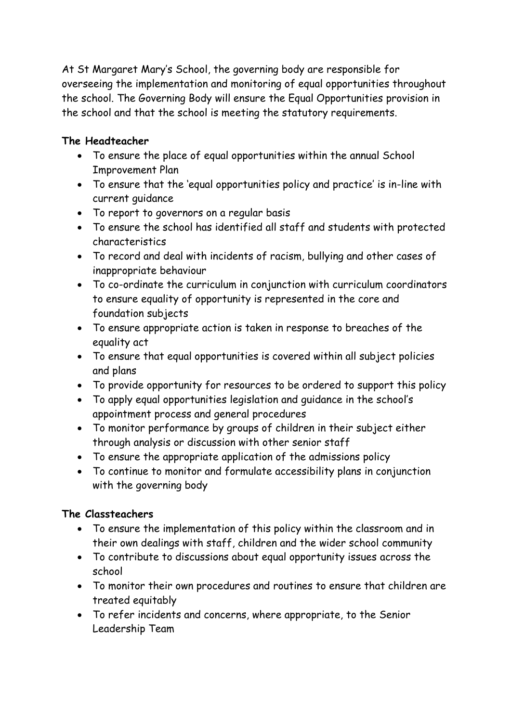At St Margaret Mary's School, the governing body are responsible for overseeing the implementation and monitoring of equal opportunities throughout the school. The Governing Body will ensure the Equal Opportunities provision in the school and that the school is meeting the statutory requirements.

## **The Headteacher**

- To ensure the place of equal opportunities within the annual School Improvement Plan
- To ensure that the 'equal opportunities policy and practice' is in-line with current guidance
- To report to governors on a regular basis
- To ensure the school has identified all staff and students with protected characteristics
- To record and deal with incidents of racism, bullying and other cases of inappropriate behaviour
- To co-ordinate the curriculum in conjunction with curriculum coordinators to ensure equality of opportunity is represented in the core and foundation subjects
- To ensure appropriate action is taken in response to breaches of the equality act
- To ensure that equal opportunities is covered within all subject policies and plans
- To provide opportunity for resources to be ordered to support this policy
- To apply equal opportunities legislation and guidance in the school's appointment process and general procedures
- To monitor performance by groups of children in their subject either through analysis or discussion with other senior staff
- To ensure the appropriate application of the admissions policy
- To continue to monitor and formulate accessibility plans in conjunction with the governing body

## **The Classteachers**

- To ensure the implementation of this policy within the classroom and in their own dealings with staff, children and the wider school community
- To contribute to discussions about equal opportunity issues across the school
- To monitor their own procedures and routines to ensure that children are treated equitably
- To refer incidents and concerns, where appropriate, to the Senior Leadership Team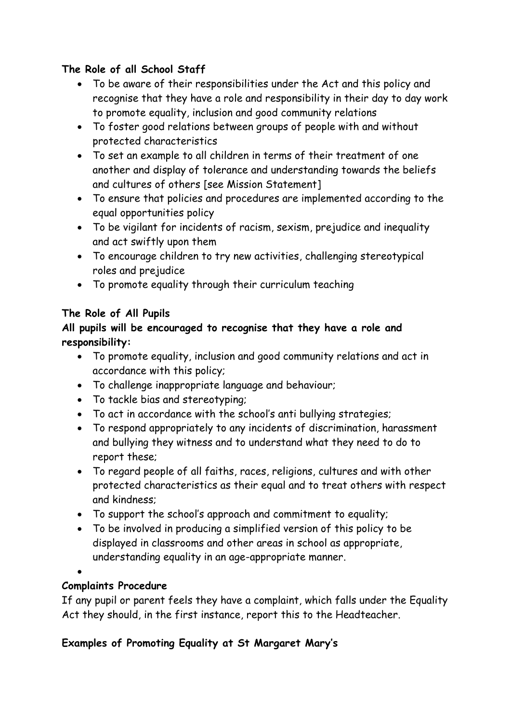## **The Role of all School Staff**

- To be aware of their responsibilities under the Act and this policy and recognise that they have a role and responsibility in their day to day work to promote equality, inclusion and good community relations
- To foster good relations between groups of people with and without protected characteristics
- To set an example to all children in terms of their treatment of one another and display of tolerance and understanding towards the beliefs and cultures of others [see Mission Statement]
- To ensure that policies and procedures are implemented according to the equal opportunities policy
- To be vigilant for incidents of racism, sexism, prejudice and inequality and act swiftly upon them
- To encourage children to try new activities, challenging stereotypical roles and prejudice
- To promote equality through their curriculum teaching

# **The Role of All Pupils**

## **All pupils will be encouraged to recognise that they have a role and responsibility:**

- To promote equality, inclusion and good community relations and act in accordance with this policy;
- To challenge inappropriate language and behaviour;
- To tackle bias and stereotyping;
- To act in accordance with the school's anti bullying strategies;
- To respond appropriately to any incidents of discrimination, harassment and bullying they witness and to understand what they need to do to report these;
- To regard people of all faiths, races, religions, cultures and with other protected characteristics as their equal and to treat others with respect and kindness;
- To support the school's approach and commitment to equality;
- To be involved in producing a simplified version of this policy to be displayed in classrooms and other areas in school as appropriate, understanding equality in an age-appropriate manner.
- $\bullet$

## **Complaints Procedure**

If any pupil or parent feels they have a complaint, which falls under the Equality Act they should, in the first instance, report this to the Headteacher.

# **Examples of Promoting Equality at St Margaret Mary's**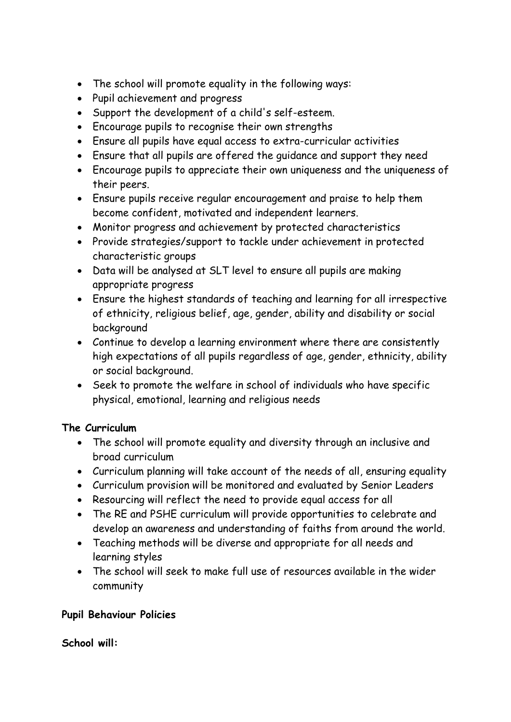- The school will promote equality in the following ways:
- Pupil achievement and progress
- Support the development of a child's self-esteem.
- Encourage pupils to recognise their own strengths
- Ensure all pupils have equal access to extra-curricular activities
- Ensure that all pupils are offered the guidance and support they need
- Encourage pupils to appreciate their own uniqueness and the uniqueness of their peers.
- Ensure pupils receive regular encouragement and praise to help them become confident, motivated and independent learners.
- Monitor progress and achievement by protected characteristics
- Provide strategies/support to tackle under achievement in protected characteristic groups
- Data will be analysed at SLT level to ensure all pupils are making appropriate progress
- Ensure the highest standards of teaching and learning for all irrespective of ethnicity, religious belief, age, gender, ability and disability or social background
- Continue to develop a learning environment where there are consistently high expectations of all pupils regardless of age, gender, ethnicity, ability or social background.
- Seek to promote the welfare in school of individuals who have specific physical, emotional, learning and religious needs

## **The Curriculum**

- The school will promote equality and diversity through an inclusive and broad curriculum
- Curriculum planning will take account of the needs of all, ensuring equality
- Curriculum provision will be monitored and evaluated by Senior Leaders
- Resourcing will reflect the need to provide equal access for all
- The RE and PSHE curriculum will provide opportunities to celebrate and develop an awareness and understanding of faiths from around the world.
- Teaching methods will be diverse and appropriate for all needs and learning styles
- The school will seek to make full use of resources available in the wider community

### **Pupil Behaviour Policies**

### **School will:**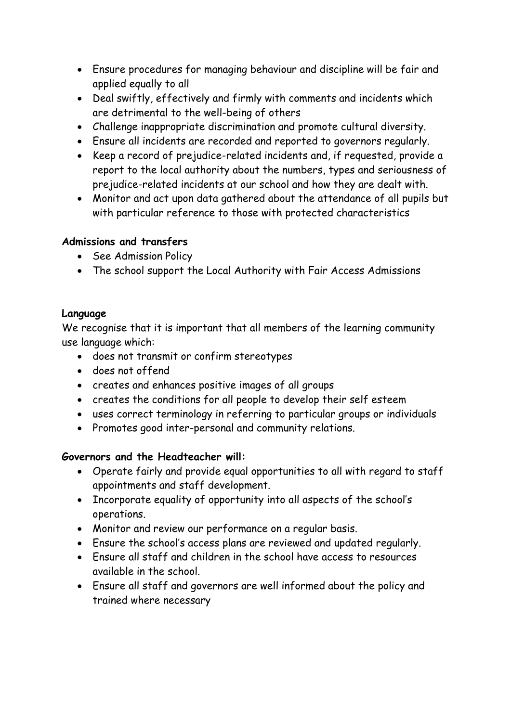- Ensure procedures for managing behaviour and discipline will be fair and applied equally to all
- Deal swiftly, effectively and firmly with comments and incidents which are detrimental to the well-being of others
- Challenge inappropriate discrimination and promote cultural diversity.
- Ensure all incidents are recorded and reported to governors regularly.
- Keep a record of prejudice-related incidents and, if requested, provide a report to the local authority about the numbers, types and seriousness of prejudice-related incidents at our school and how they are dealt with.
- Monitor and act upon data gathered about the attendance of all pupils but with particular reference to those with protected characteristics

## **Admissions and transfers**

- See Admission Policy
- The school support the Local Authority with Fair Access Admissions

## **Language**

We recognise that it is important that all members of the learning community use language which:

- does not transmit or confirm stereotypes
- does not offend
- creates and enhances positive images of all groups
- creates the conditions for all people to develop their self esteem
- uses correct terminology in referring to particular groups or individuals
- Promotes good inter-personal and community relations.

## **Governors and the Headteacher will:**

- Operate fairly and provide equal opportunities to all with regard to staff appointments and staff development.
- Incorporate equality of opportunity into all aspects of the school's operations.
- Monitor and review our performance on a regular basis.
- Ensure the school's access plans are reviewed and updated regularly.
- Ensure all staff and children in the school have access to resources available in the school.
- Ensure all staff and governors are well informed about the policy and trained where necessary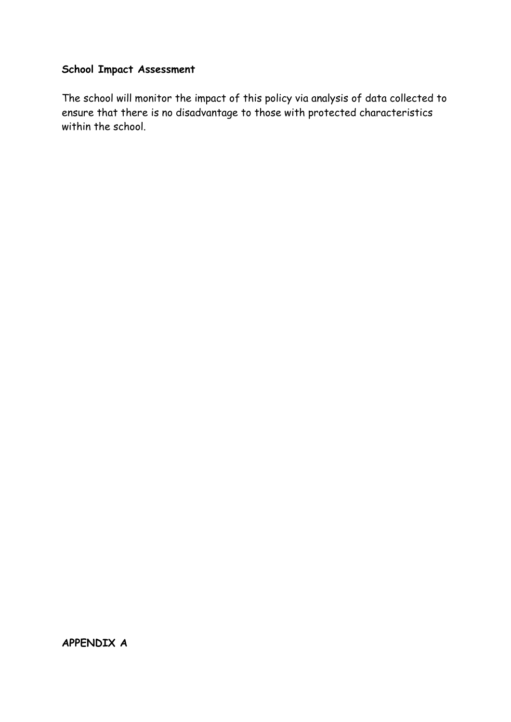## **School Impact Assessment**

The school will monitor the impact of this policy via analysis of data collected to ensure that there is no disadvantage to those with protected characteristics within the school.

**APPENDIX A**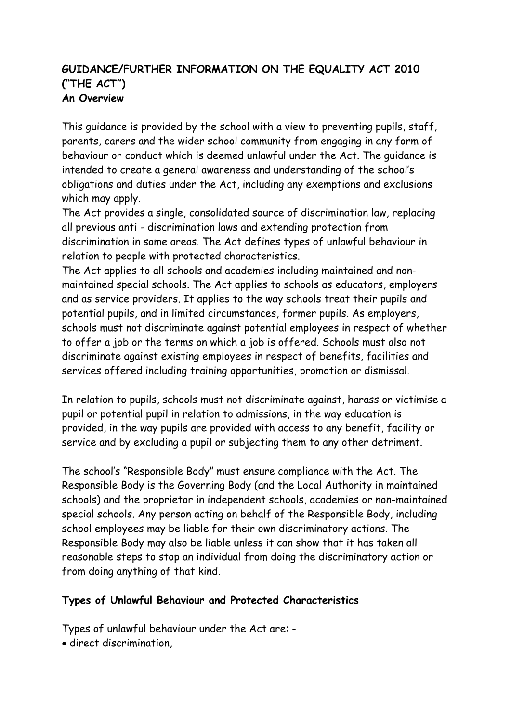### **GUIDANCE/FURTHER INFORMATION ON THE EQUALITY ACT 2010 ("THE ACT") An Overview**

This guidance is provided by the school with a view to preventing pupils, staff, parents, carers and the wider school community from engaging in any form of behaviour or conduct which is deemed unlawful under the Act. The guidance is intended to create a general awareness and understanding of the school's obligations and duties under the Act, including any exemptions and exclusions which may apply.

The Act provides a single, consolidated source of discrimination law, replacing all previous anti - discrimination laws and extending protection from discrimination in some areas. The Act defines types of unlawful behaviour in relation to people with protected characteristics.

The Act applies to all schools and academies including maintained and nonmaintained special schools. The Act applies to schools as educators, employers and as service providers. It applies to the way schools treat their pupils and potential pupils, and in limited circumstances, former pupils. As employers, schools must not discriminate against potential employees in respect of whether to offer a job or the terms on which a job is offered. Schools must also not discriminate against existing employees in respect of benefits, facilities and services offered including training opportunities, promotion or dismissal.

In relation to pupils, schools must not discriminate against, harass or victimise a pupil or potential pupil in relation to admissions, in the way education is provided, in the way pupils are provided with access to any benefit, facility or service and by excluding a pupil or subjecting them to any other detriment.

The school's "Responsible Body" must ensure compliance with the Act. The Responsible Body is the Governing Body (and the Local Authority in maintained schools) and the proprietor in independent schools, academies or non-maintained special schools. Any person acting on behalf of the Responsible Body, including school employees may be liable for their own discriminatory actions. The Responsible Body may also be liable unless it can show that it has taken all reasonable steps to stop an individual from doing the discriminatory action or from doing anything of that kind.

### **Types of Unlawful Behaviour and Protected Characteristics**

Types of unlawful behaviour under the Act are: -

direct discrimination,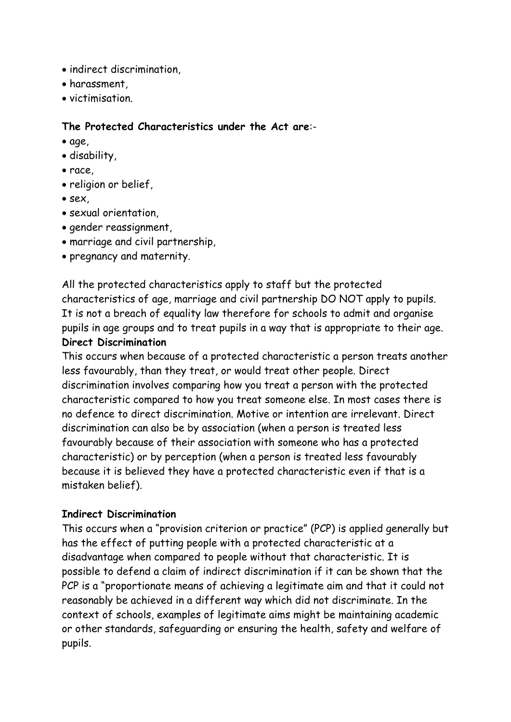- indirect discrimination,
- harassment,
- victimisation.

### **The Protected Characteristics under the Act are**:-

- age,
- disability,
- race,
- religion or belief,
- sex,
- sexual orientation,
- gender reassignment,
- marriage and civil partnership,
- pregnancy and maternity.

All the protected characteristics apply to staff but the protected characteristics of age, marriage and civil partnership DO NOT apply to pupils. It is not a breach of equality law therefore for schools to admit and organise pupils in age groups and to treat pupils in a way that is appropriate to their age. **Direct Discrimination**

This occurs when because of a protected characteristic a person treats another less favourably, than they treat, or would treat other people. Direct discrimination involves comparing how you treat a person with the protected characteristic compared to how you treat someone else. In most cases there is no defence to direct discrimination. Motive or intention are irrelevant. Direct discrimination can also be by association (when a person is treated less favourably because of their association with someone who has a protected characteristic) or by perception (when a person is treated less favourably because it is believed they have a protected characteristic even if that is a mistaken belief).

### **Indirect Discrimination**

This occurs when a "provision criterion or practice" (PCP) is applied generally but has the effect of putting people with a protected characteristic at a disadvantage when compared to people without that characteristic. It is possible to defend a claim of indirect discrimination if it can be shown that the PCP is a "proportionate means of achieving a legitimate aim and that it could not reasonably be achieved in a different way which did not discriminate. In the context of schools, examples of legitimate aims might be maintaining academic or other standards, safeguarding or ensuring the health, safety and welfare of pupils.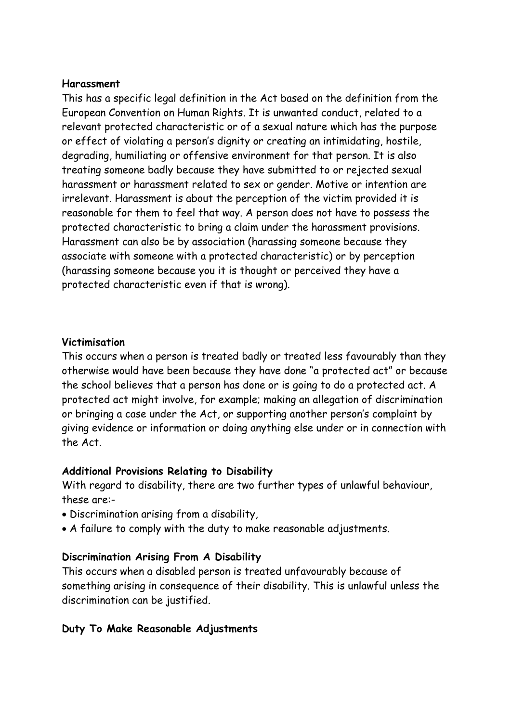### **Harassment**

This has a specific legal definition in the Act based on the definition from the European Convention on Human Rights. It is unwanted conduct, related to a relevant protected characteristic or of a sexual nature which has the purpose or effect of violating a person's dignity or creating an intimidating, hostile, degrading, humiliating or offensive environment for that person. It is also treating someone badly because they have submitted to or rejected sexual harassment or harassment related to sex or gender. Motive or intention are irrelevant. Harassment is about the perception of the victim provided it is reasonable for them to feel that way. A person does not have to possess the protected characteristic to bring a claim under the harassment provisions. Harassment can also be by association (harassing someone because they associate with someone with a protected characteristic) or by perception (harassing someone because you it is thought or perceived they have a protected characteristic even if that is wrong).

#### **Victimisation**

This occurs when a person is treated badly or treated less favourably than they otherwise would have been because they have done "a protected act" or because the school believes that a person has done or is going to do a protected act. A protected act might involve, for example; making an allegation of discrimination or bringing a case under the Act, or supporting another person's complaint by giving evidence or information or doing anything else under or in connection with the Act.

### **Additional Provisions Relating to Disability**

With regard to disability, there are two further types of unlawful behaviour, these are:-

- Discrimination arising from a disability,
- A failure to comply with the duty to make reasonable adjustments.

### **Discrimination Arising From A Disability**

This occurs when a disabled person is treated unfavourably because of something arising in consequence of their disability. This is unlawful unless the discrimination can be justified.

### **Duty To Make Reasonable Adjustments**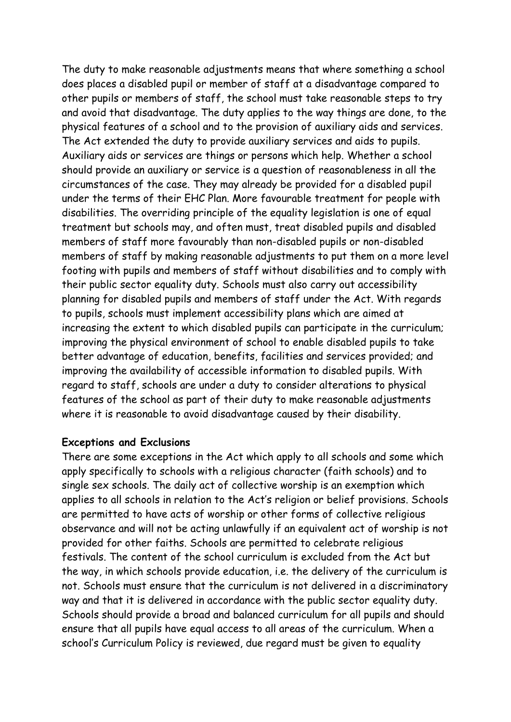The duty to make reasonable adjustments means that where something a school does places a disabled pupil or member of staff at a disadvantage compared to other pupils or members of staff, the school must take reasonable steps to try and avoid that disadvantage. The duty applies to the way things are done, to the physical features of a school and to the provision of auxiliary aids and services. The Act extended the duty to provide auxiliary services and aids to pupils. Auxiliary aids or services are things or persons which help. Whether a school should provide an auxiliary or service is a question of reasonableness in all the circumstances of the case. They may already be provided for a disabled pupil under the terms of their EHC Plan. More favourable treatment for people with disabilities. The overriding principle of the equality legislation is one of equal treatment but schools may, and often must, treat disabled pupils and disabled members of staff more favourably than non-disabled pupils or non-disabled members of staff by making reasonable adjustments to put them on a more level footing with pupils and members of staff without disabilities and to comply with their public sector equality duty. Schools must also carry out accessibility planning for disabled pupils and members of staff under the Act. With regards to pupils, schools must implement accessibility plans which are aimed at increasing the extent to which disabled pupils can participate in the curriculum; improving the physical environment of school to enable disabled pupils to take better advantage of education, benefits, facilities and services provided; and improving the availability of accessible information to disabled pupils. With regard to staff, schools are under a duty to consider alterations to physical features of the school as part of their duty to make reasonable adjustments where it is reasonable to avoid disadvantage caused by their disability.

#### **Exceptions and Exclusions**

There are some exceptions in the Act which apply to all schools and some which apply specifically to schools with a religious character (faith schools) and to single sex schools. The daily act of collective worship is an exemption which applies to all schools in relation to the Act's religion or belief provisions. Schools are permitted to have acts of worship or other forms of collective religious observance and will not be acting unlawfully if an equivalent act of worship is not provided for other faiths. Schools are permitted to celebrate religious festivals. The content of the school curriculum is excluded from the Act but the way, in which schools provide education, i.e. the delivery of the curriculum is not. Schools must ensure that the curriculum is not delivered in a discriminatory way and that it is delivered in accordance with the public sector equality duty. Schools should provide a broad and balanced curriculum for all pupils and should ensure that all pupils have equal access to all areas of the curriculum. When a school's Curriculum Policy is reviewed, due regard must be given to equality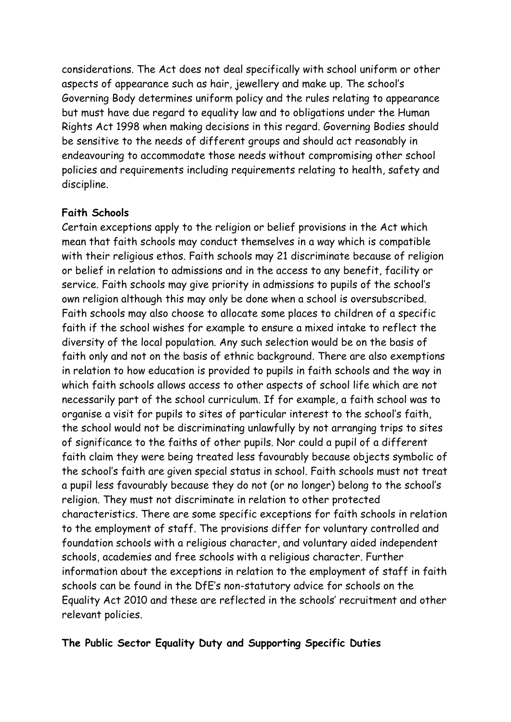considerations. The Act does not deal specifically with school uniform or other aspects of appearance such as hair, jewellery and make up. The school's Governing Body determines uniform policy and the rules relating to appearance but must have due regard to equality law and to obligations under the Human Rights Act 1998 when making decisions in this regard. Governing Bodies should be sensitive to the needs of different groups and should act reasonably in endeavouring to accommodate those needs without compromising other school policies and requirements including requirements relating to health, safety and discipline.

### **Faith Schools**

Certain exceptions apply to the religion or belief provisions in the Act which mean that faith schools may conduct themselves in a way which is compatible with their religious ethos. Faith schools may 21 discriminate because of religion or belief in relation to admissions and in the access to any benefit, facility or service. Faith schools may give priority in admissions to pupils of the school's own religion although this may only be done when a school is oversubscribed. Faith schools may also choose to allocate some places to children of a specific faith if the school wishes for example to ensure a mixed intake to reflect the diversity of the local population. Any such selection would be on the basis of faith only and not on the basis of ethnic background. There are also exemptions in relation to how education is provided to pupils in faith schools and the way in which faith schools allows access to other aspects of school life which are not necessarily part of the school curriculum. If for example, a faith school was to organise a visit for pupils to sites of particular interest to the school's faith, the school would not be discriminating unlawfully by not arranging trips to sites of significance to the faiths of other pupils. Nor could a pupil of a different faith claim they were being treated less favourably because objects symbolic of the school's faith are given special status in school. Faith schools must not treat a pupil less favourably because they do not (or no longer) belong to the school's religion. They must not discriminate in relation to other protected characteristics. There are some specific exceptions for faith schools in relation to the employment of staff. The provisions differ for voluntary controlled and foundation schools with a religious character, and voluntary aided independent schools, academies and free schools with a religious character. Further information about the exceptions in relation to the employment of staff in faith schools can be found in the DfE's non-statutory advice for schools on the Equality Act 2010 and these are reflected in the schools' recruitment and other relevant policies.

### **The Public Sector Equality Duty and Supporting Specific Duties**